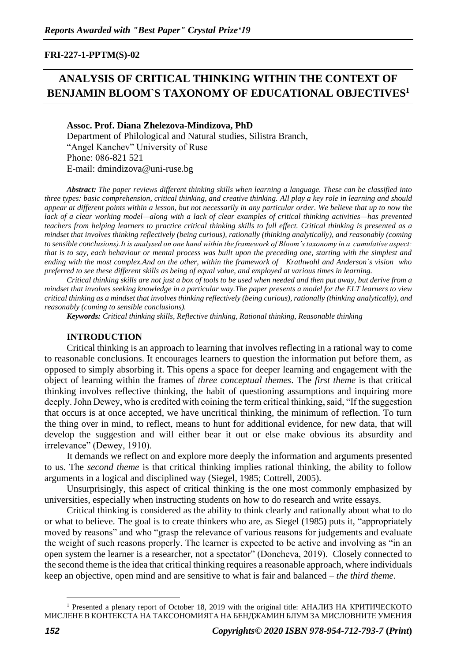## **FRI-227-1-PPTM(S)-02**

# **ANALYSIS OF CRITICAL THINKING WITHIN THE CONTEXT OF BENJAMIN BLOOM`S TAXONOMY OF EDUCATIONAL OBJECTIVES<sup>1</sup>**

## **Assoc. Prof. Diana Zhelezova-Mindizova, PhD**

Department of Philological and Natural studies, Silistra Branch, "Angel Kanchev" University of Ruse Phone: 086-821 521 Е-mail: dmindizova@uni-ruse.bg

*Abstract: The paper reviews different thinking skills when learning a language. These can be classified into three types: basic comprehension, critical thinking, and creative thinking. All play a key role in learning and should appear at different points within a lesson, but not necessarily in any particular order. We believe that up to now the lack of a clear working model—along with a lack of clear examples of critical thinking activities—has prevented teachers from helping learners to practice critical thinking skills to full effect. Critical thinking is presented as a mindset that involves thinking reflectively (being curious), rationally (thinking analytically), and reasonably (coming to sensible conclusions).It is analysed on one hand within the framework of Bloom's taxonomy in a cumulative aspect: that is to say, each behaviour or mental process was built upon the preceding one, starting with the simplest and ending with the most complex.And on the other, within the framework of Krathwohl and Anderson`s vision who preferred to see these different skills as being of equal value, and employed at various times in learning.* 

*Critical thinking skills are not just a box of tools to be used when needed and then put away, but derive from a mindset that involves seeking knowledge in a particular way.The paper presents a model for the ELT learners to view critical thinking as a mindset that involves thinking reflectively (being curious), rationally (thinking analytically), and reasonably (coming to sensible conclusions).*

*Keywords: Critical thinking skills, Reflective thinking, Rational thinking, Reasonable thinking*

#### **INTRODUCTION**

Critical thinking is an approach to learning that involves reflecting in a rational way to come to reasonable conclusions. It encourages learners to question the information put before them, as opposed to simply absorbing it. This opens a space for deeper learning and engagement with the object of learning within the frames of *three conceptual themes*. The *first theme* is that critical thinking involves reflective thinking, the habit of questioning assumptions and inquiring more deeply. John Dewey, who is credited with coining the term critical thinking, said, "If the suggestion that occurs is at once accepted, we have uncritical thinking, the minimum of reflection. To turn the thing over in mind, to reflect, means to hunt for additional evidence, for new data, that will develop the suggestion and will either bear it out or else make obvious its absurdity and irrelevance" (Dewey, 1910).

It demands we reflect on and explore more deeply the information and arguments presented to us. The *second theme* is that critical thinking implies rational thinking, the ability to follow arguments in a logical and disciplined way (Siegel, 1985; Cottrell, 2005).

Unsurprisingly, this aspect of critical thinking is the one most commonly emphasized by universities, especially when instructing students on how to do research and write essays.

Critical thinking is considered as the ability to think clearly and rationally about what to do or what to believe. The goal is to create thinkers who are, as Siegel (1985) puts it, "appropriately moved by reasons" and who "grasp the relevance of various reasons for judgements and evaluate the weight of such reasons properly. The learner is expected to be active and involving as "in an open system the learner is a researcher, not a spectator" (Doncheva, 2019). Closely connected to the second theme is the idea that critical thinking requires a reasonable approach, where individuals keep an objective, open mind and are sensitive to what is fair and balanced – *the third theme*.

<sup>1</sup> Presented a plenary report of October 18, 2019 with the original title: АНАЛИЗ НА КРИТИЧЕСКОТО МИСЛЕНЕ В КОНТЕКСТА НА ТАКСОНОМИЯТА НА БЕНДЖАМИН БЛУМ ЗА МИСЛОВНИТЕ УМЕНИЯ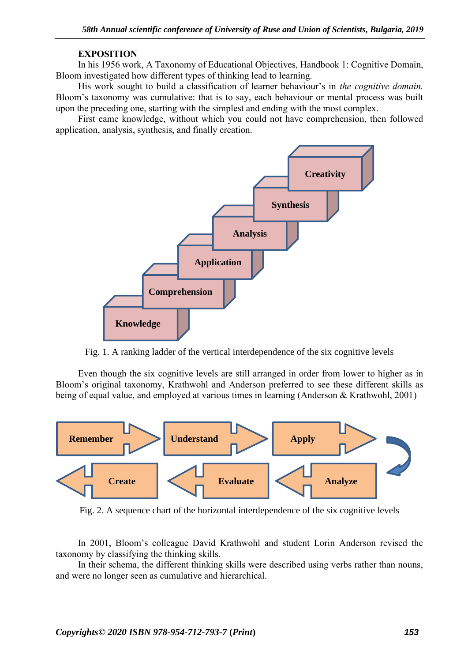## **EXPOSITION**

In his 1956 work, A Taxonomy of Educational Objectives, Handbook 1: Cognitive Domain, Bloom investigated how different types of thinking lead to learning.

His work sought to build a classification of learner behaviour's in *the cognitive domain.*  Bloom's taxonomy was cumulative: that is to say, each behaviour or mental process was built upon the preceding one, starting with the simplest and ending with the most complex.

First came knowledge, without which you could not have comprehension, then followed application, analysis, synthesis, and finally creation.



Fig. 1. A ranking ladder of the vertical interdependence of the six cognitive levels

Even though the six cognitive levels are still arranged in order from lower to higher as in Bloom's original taxonomy, Krathwohl and Anderson preferred to see these different skills as being of equal value, and employed at various times in learning (Anderson & Krathwohl, 2001)



Fig. 2. A sequence chart of the horizontal interdependence of the six cognitive levels

In 2001, Bloom's colleague David Krathwohl and student Lorin Anderson revised the taxonomy by classifying the thinking skills.

In their schema, the different thinking skills were described using verbs rather than nouns, and were no longer seen as cumulative and hierarchical.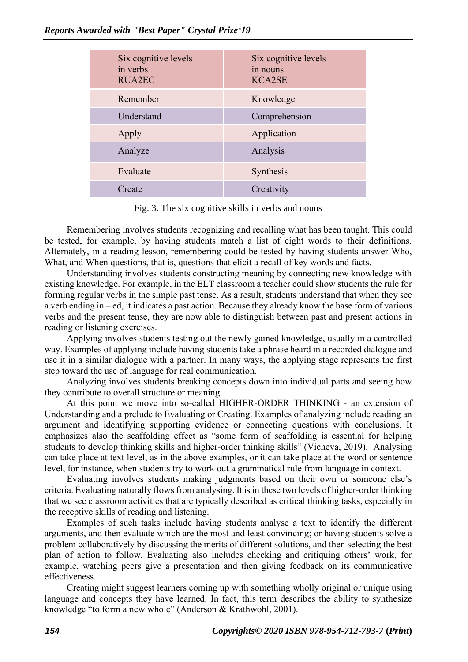| Six cognitive levels<br>in verbs<br><b>RUA2EC</b> | Six cognitive levels<br>in nouns<br><b>KCA2SE</b> |
|---------------------------------------------------|---------------------------------------------------|
| Remember                                          | Knowledge                                         |
| Understand                                        | Comprehension                                     |
| Apply                                             | Application                                       |
| Analyze                                           | Analysis                                          |
| Evaluate                                          | Synthesis                                         |
| Create                                            | Creativity                                        |

Fig. 3. The six cognitive skills in verbs and nouns

Remembering involves students recognizing and recalling what has been taught. This could be tested, for example, by having students match a list of eight words to their definitions. Alternately, in a reading lesson, remembering could be tested by having students answer Who, What, and When questions, that is, questions that elicit a recall of key words and facts.

Understanding involves students constructing meaning by connecting new knowledge with existing knowledge. For example, in the ELT classroom a teacher could show students the rule for forming regular verbs in the simple past tense. As a result, students understand that when they see a verb ending in – ed, it indicates a past action. Because they already know the base form of various verbs and the present tense, they are now able to distinguish between past and present actions in reading or listening exercises.

Applying involves students testing out the newly gained knowledge, usually in a controlled way. Examples of applying include having students take a phrase heard in a recorded dialogue and use it in a similar dialogue with a partner. In many ways, the applying stage represents the first step toward the use of language for real communication.

Analyzing involves students breaking concepts down into individual parts and seeing how they contribute to overall structure or meaning.

At this point we move into so-called HIGHER-ORDER THINKING - an extension of Understanding and a prelude to Evaluating or Creating. Examples of analyzing include reading an argument and identifying supporting evidence or connecting questions with conclusions. It emphasizes also the scaffolding effect as "some form of scaffolding is essential for helping students to develop thinking skills and higher-order thinking skills" (Vicheva, 2019). Analysing can take place at text level, as in the above examples, or it can take place at the word or sentence level, for instance, when students try to work out a grammatical rule from language in context.

Evaluating involves students making judgments based on their own or someone else's criteria. Evaluating naturally flows from analysing. It is in these two levels of higher-order thinking that we see classroom activities that are typically described as critical thinking tasks, especially in the receptive skills of reading and listening.

Examples of such tasks include having students analyse a text to identify the different arguments, and then evaluate which are the most and least convincing; or having students solve a problem collaboratively by discussing the merits of different solutions, and then selecting the best plan of action to follow. Evaluating also includes checking and critiquing others' work, for example, watching peers give a presentation and then giving feedback on its communicative effectiveness.

Creating might suggest learners coming up with something wholly original or unique using language and concepts they have learned. In fact, this term describes the ability to synthesize knowledge "to form a new whole" (Anderson & Krathwohl, 2001).